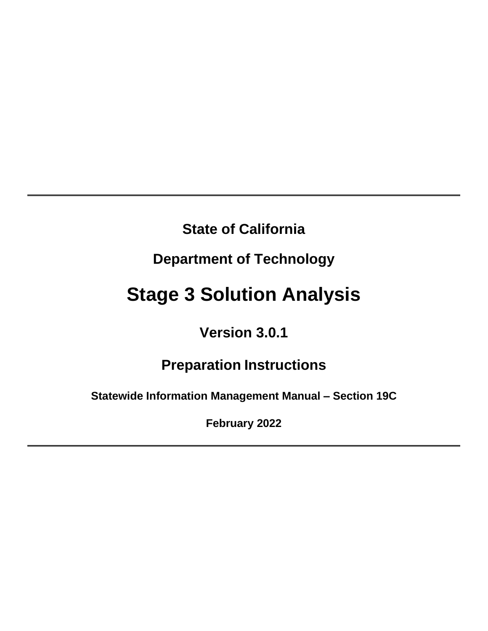# **State of California**

# **Department of Technology**

# **Stage 3 Solution Analysis**

# **Version 3.0.1**

# **Preparation Instructions**

**Statewide Information Management Manual – Section 19C**

**February 2022**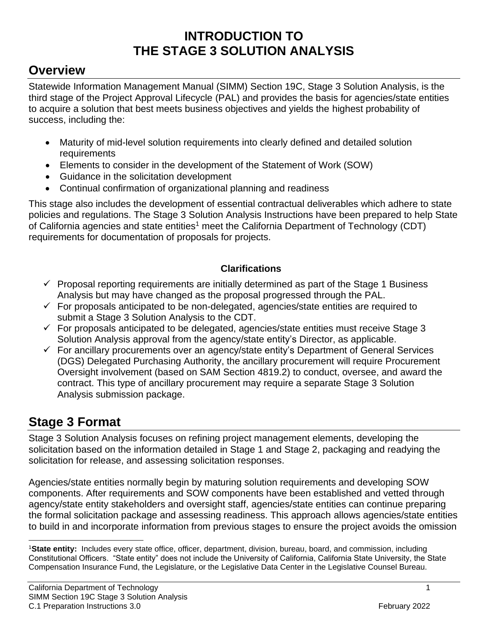### **INTRODUCTION TO THE STAGE 3 SOLUTION ANALYSIS**

### <span id="page-1-0"></span>**Overview**

Statewide Information Management Manual (SIMM) Section 19C, Stage 3 Solution Analysis, is the third stage of the Project Approval Lifecycle (PAL) and provides the basis for agencies/state entities to acquire a solution that best meets business objectives and yields the highest probability of success, including the:

- Maturity of mid-level solution requirements into clearly defined and detailed solution requirements
- Elements to consider in the development of the Statement of Work (SOW)
- Guidance in the solicitation development
- Continual confirmation of organizational planning and readiness

This stage also includes the development of essential contractual deliverables which adhere to state policies and regulations. The Stage 3 Solution Analysis Instructions have been prepared to help State of California agencies and state entities<sup>1</sup> meet the California Department of Technology (CDT) requirements for documentation of proposals for projects.

#### **Clarifications**

- $\checkmark$  Proposal reporting requirements are initially determined as part of the Stage 1 Business Analysis but may have changed as the proposal progressed through the PAL.
- $\checkmark$  For proposals anticipated to be non-delegated, agencies/state entities are required to submit a Stage 3 Solution Analysis to the CDT.
- $\checkmark$  For proposals anticipated to be delegated, agencies/state entities must receive Stage 3 Solution Analysis approval from the agency/state entity's Director, as applicable.
- $\checkmark$  For ancillary procurements over an agency/state entity's Department of General Services (DGS) Delegated Purchasing Authority, the ancillary procurement will require Procurement Oversight involvement (based on SAM Section 4819.2) to conduct, oversee, and award the contract. This type of ancillary procurement may require a separate Stage 3 Solution Analysis submission package.

### <span id="page-1-1"></span>**Stage 3 Format**

Stage 3 Solution Analysis focuses on refining project management elements, developing the solicitation based on the information detailed in Stage 1 and Stage 2, packaging and readying the solicitation for release, and assessing solicitation responses.

Agencies/state entities normally begin by maturing solution requirements and developing SOW components. After requirements and SOW components have been established and vetted through agency/state entity stakeholders and oversight staff, agencies/state entities can continue preparing the formal solicitation package and assessing readiness. This approach allows agencies/state entities to build in and incorporate information from previous stages to ensure the project avoids the omission

<sup>1</sup>**State entity:** Includes every state office, officer, department, division, bureau, board, and commission, including Constitutional Officers. "State entity" does not include the University of California, California State University, the State Compensation Insurance Fund, the Legislature, or the Legislative Data Center in the Legislative Counsel Bureau.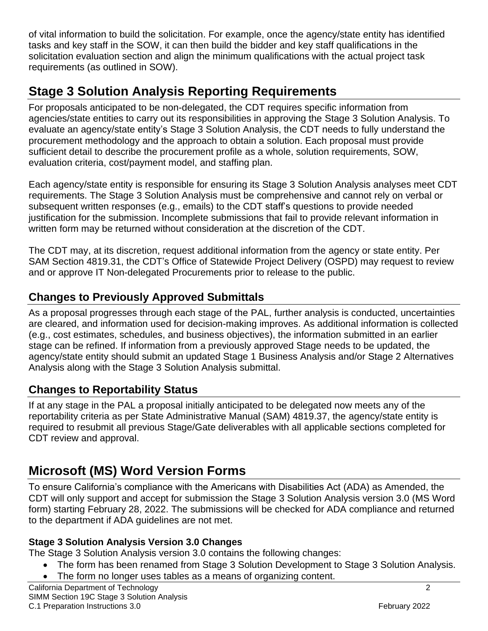of vital information to build the solicitation. For example, once the agency/state entity has identified tasks and key staff in the SOW, it can then build the bidder and key staff qualifications in the solicitation evaluation section and align the minimum qualifications with the actual project task requirements (as outlined in SOW).

# <span id="page-2-0"></span>**Stage 3 Solution Analysis Reporting Requirements**

For proposals anticipated to be non-delegated, the CDT requires specific information from agencies/state entities to carry out its responsibilities in approving the Stage 3 Solution Analysis. To evaluate an agency/state entity's Stage 3 Solution Analysis, the CDT needs to fully understand the procurement methodology and the approach to obtain a solution. Each proposal must provide sufficient detail to describe the procurement profile as a whole, solution requirements, SOW, evaluation criteria, cost/payment model, and staffing plan.

Each agency/state entity is responsible for ensuring its Stage 3 Solution Analysis analyses meet CDT requirements. The Stage 3 Solution Analysis must be comprehensive and cannot rely on verbal or subsequent written responses (e.g., emails) to the CDT staff's questions to provide needed justification for the submission. Incomplete submissions that fail to provide relevant information in written form may be returned without consideration at the discretion of the CDT.

The CDT may, at its discretion, request additional information from the agency or state entity. Per SAM Section 4819.31, the CDT's Office of Statewide Project Delivery (OSPD) may request to review and or approve IT Non-delegated Procurements prior to release to the public.

### **Changes to Previously Approved Submittals**

As a proposal progresses through each stage of the PAL, further analysis is conducted, uncertainties are cleared, and information used for decision-making improves. As additional information is collected (e.g., cost estimates, schedules, and business objectives), the information submitted in an earlier stage can be refined. If information from a previously approved Stage needs to be updated, the agency/state entity should submit an updated Stage 1 Business Analysis and/or Stage 2 Alternatives Analysis along with the Stage 3 Solution Analysis submittal.

#### **Changes to Reportability Status**

If at any stage in the PAL a proposal initially anticipated to be delegated now meets any of the reportability criteria as per State Administrative Manual (SAM) 4819.37, the agency/state entity is required to resubmit all previous Stage/Gate deliverables with all applicable sections completed for CDT review and approval.

# **Microsoft (MS) Word Version Forms**

To ensure California's compliance with the Americans with Disabilities Act (ADA) as Amended, the CDT will only support and accept for submission the Stage 3 Solution Analysis version 3.0 (MS Word form) starting February 28, 2022. The submissions will be checked for ADA compliance and returned to the department if ADA guidelines are not met.

#### **Stage 3 Solution Analysis Version 3.0 Changes**

The Stage 3 Solution Analysis version 3.0 contains the following changes:

- The form has been renamed from Stage 3 Solution Development to Stage 3 Solution Analysis.
- The form no longer uses tables as a means of organizing content.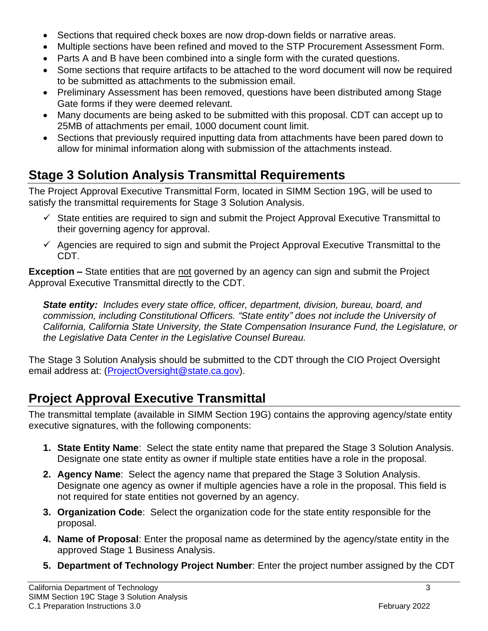- Sections that required check boxes are now drop-down fields or narrative areas.
- Multiple sections have been refined and moved to the STP Procurement Assessment Form.
- Parts A and B have been combined into a single form with the curated questions.
- Some sections that require artifacts to be attached to the word document will now be required to be submitted as attachments to the submission email.
- Preliminary Assessment has been removed, questions have been distributed among Stage Gate forms if they were deemed relevant.
- Many documents are being asked to be submitted with this proposal. CDT can accept up to 25MB of attachments per email, 1000 document count limit.
- Sections that previously required inputting data from attachments have been pared down to allow for minimal information along with submission of the attachments instead.

# <span id="page-3-0"></span>**Stage 3 Solution Analysis Transmittal Requirements**

The Project Approval Executive Transmittal Form, located in SIMM Section 19G, will be used to satisfy the transmittal requirements for Stage 3 Solution Analysis.

- $\checkmark$  State entities are required to sign and submit the Project Approval Executive Transmittal to their governing agency for approval.
- $\checkmark$  Agencies are required to sign and submit the Project Approval Executive Transmittal to the CDT.

**Exception –** State entities that are not governed by an agency can sign and submit the Project Approval Executive Transmittal directly to the CDT.

*State entity: Includes every state office, officer, department, division, bureau, board, and commission, including Constitutional Officers. "State entity" does not include the University of California, California State University, the State Compensation Insurance Fund, the Legislature, or the Legislative Data Center in the Legislative Counsel Bureau.*

The Stage 3 Solution Analysis should be submitted to the CDT through the CIO Project Oversight email address at: [\(ProjectOversight@state.ca.gov\)](mailto:ProjectOversight@state.ca.gov).

# <span id="page-3-1"></span>**Project Approval Executive Transmittal**

The transmittal template (available in SIMM Section 19G) contains the approving agency/state entity executive signatures, with the following components:

- **1. State Entity Name**: Select the state entity name that prepared the Stage 3 Solution Analysis. Designate one state entity as owner if multiple state entities have a role in the proposal.
- **2. Agency Name**: Select the agency name that prepared the Stage 3 Solution Analysis. Designate one agency as owner if multiple agencies have a role in the proposal. This field is not required for state entities not governed by an agency.
- **3. Organization Code**: Select the organization code for the state entity responsible for the proposal.
- **4. Name of Proposal**: Enter the proposal name as determined by the agency/state entity in the approved Stage 1 Business Analysis.
- **5. Department of Technology Project Number**: Enter the project number assigned by the CDT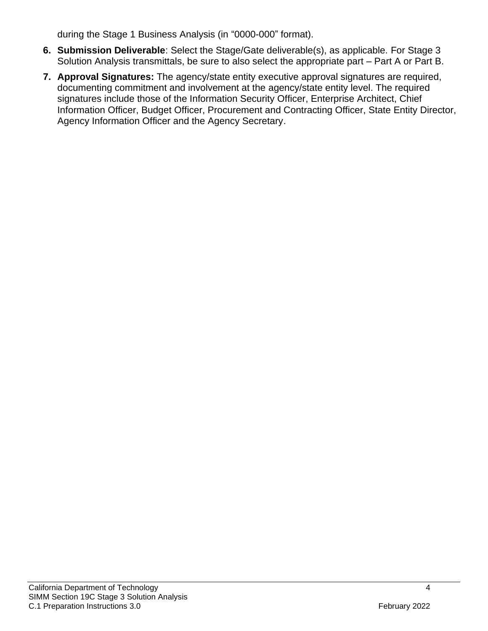during the Stage 1 Business Analysis (in "0000-000" format).

- **6. Submission Deliverable**: Select the Stage/Gate deliverable(s), as applicable. For Stage 3 Solution Analysis transmittals, be sure to also select the appropriate part – Part A or Part B.
- **7. Approval Signatures:** The agency/state entity executive approval signatures are required, documenting commitment and involvement at the agency/state entity level. The required signatures include those of the Information Security Officer, Enterprise Architect, Chief Information Officer, Budget Officer, Procurement and Contracting Officer, State Entity Director, Agency Information Officer and the Agency Secretary.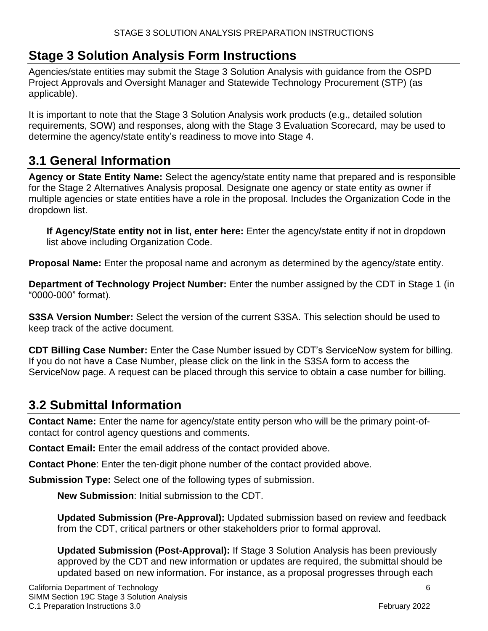### <span id="page-6-0"></span>**Stage 3 Solution Analysis Form Instructions**

Agencies/state entities may submit the Stage 3 Solution Analysis with guidance from the OSPD Project Approvals and Oversight Manager and Statewide Technology Procurement (STP) (as applicable).

It is important to note that the Stage 3 Solution Analysis work products (e.g., detailed solution requirements, SOW) and responses, along with the Stage 3 Evaluation Scorecard, may be used to determine the agency/state entity's readiness to move into Stage 4.

### <span id="page-6-1"></span>**3.1 General Information**

**Agency or State Entity Name:** Select the agency/state entity name that prepared and is responsible for the Stage 2 Alternatives Analysis proposal. Designate one agency or state entity as owner if multiple agencies or state entities have a role in the proposal. Includes the Organization Code in the dropdown list.

**If Agency/State entity not in list, enter here:** Enter the agency/state entity if not in dropdown list above including Organization Code.

**Proposal Name:** Enter the proposal name and acronym as determined by the agency/state entity.

**Department of Technology Project Number:** Enter the number assigned by the CDT in Stage 1 (in "0000-000" format).

**S3SA Version Number:** Select the version of the current S3SA. This selection should be used to keep track of the active document.

**CDT Billing Case Number:** Enter the Case Number issued by CDT's ServiceNow system for billing. If you do not have a Case Number, please click on the link in the S3SA form to access the ServiceNow page. A request can be placed through this service to obtain a case number for billing.

# <span id="page-6-2"></span>**3.2 Submittal Information**

**Contact Name:** Enter the name for agency/state entity person who will be the primary point-ofcontact for control agency questions and comments.

**Contact Email:** Enter the email address of the contact provided above.

**Contact Phone**: Enter the ten-digit phone number of the contact provided above.

**Submission Type:** Select one of the following types of submission.

**New Submission**: Initial submission to the CDT.

**Updated Submission (Pre-Approval):** Updated submission based on review and feedback from the CDT, critical partners or other stakeholders prior to formal approval.

**Updated Submission (Post-Approval):** If Stage 3 Solution Analysis has been previously approved by the CDT and new information or updates are required, the submittal should be updated based on new information. For instance, as a proposal progresses through each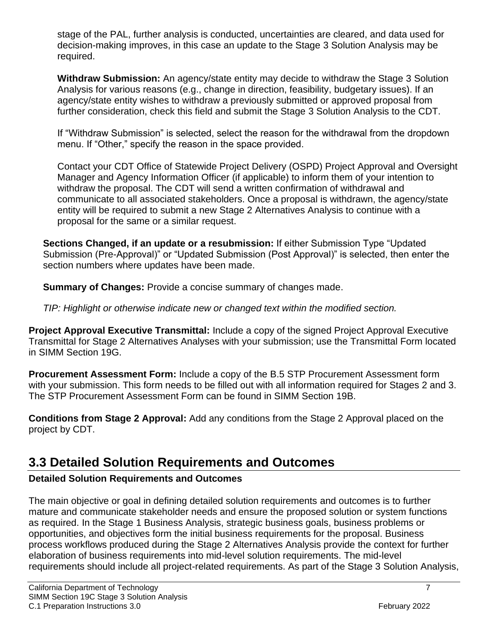stage of the PAL, further analysis is conducted, uncertainties are cleared, and data used for decision-making improves, in this case an update to the Stage 3 Solution Analysis may be required.

**Withdraw Submission:** An agency/state entity may decide to withdraw the Stage 3 Solution Analysis for various reasons (e.g., change in direction, feasibility, budgetary issues). If an agency/state entity wishes to withdraw a previously submitted or approved proposal from further consideration, check this field and submit the Stage 3 Solution Analysis to the CDT.

If "Withdraw Submission" is selected, select the reason for the withdrawal from the dropdown menu. If "Other," specify the reason in the space provided.

Contact your CDT Office of Statewide Project Delivery (OSPD) Project Approval and Oversight Manager and Agency Information Officer (if applicable) to inform them of your intention to withdraw the proposal. The CDT will send a written confirmation of withdrawal and communicate to all associated stakeholders. Once a proposal is withdrawn, the agency/state entity will be required to submit a new Stage 2 Alternatives Analysis to continue with a proposal for the same or a similar request.

**Sections Changed, if an update or a resubmission:** If either Submission Type "Updated Submission (Pre-Approval)" or "Updated Submission (Post Approval)" is selected, then enter the section numbers where updates have been made.

**Summary of Changes:** Provide a concise summary of changes made.

*TIP: Highlight or otherwise indicate new or changed text within the modified section.*

**Project Approval Executive Transmittal:** Include a copy of the signed Project Approval Executive Transmittal for Stage 2 Alternatives Analyses with your submission; use the Transmittal Form located in SIMM Section 19G.

**Procurement Assessment Form:** Include a copy of the B.5 STP Procurement Assessment form with your submission. This form needs to be filled out with all information required for Stages 2 and 3. The STP Procurement Assessment Form can be found in SIMM Section 19B.

**Conditions from Stage 2 Approval:** Add any conditions from the Stage 2 Approval placed on the project by CDT.

# <span id="page-7-0"></span>**3.3 Detailed Solution Requirements and Outcomes**

#### **Detailed Solution Requirements and Outcomes**

The main objective or goal in defining detailed solution requirements and outcomes is to further mature and communicate stakeholder needs and ensure the proposed solution or system functions as required. In the Stage 1 Business Analysis, strategic business goals, business problems or opportunities, and objectives form the initial business requirements for the proposal. Business process workflows produced during the Stage 2 Alternatives Analysis provide the context for further elaboration of business requirements into mid-level solution requirements. The mid-level requirements should include all project-related requirements. As part of the Stage 3 Solution Analysis,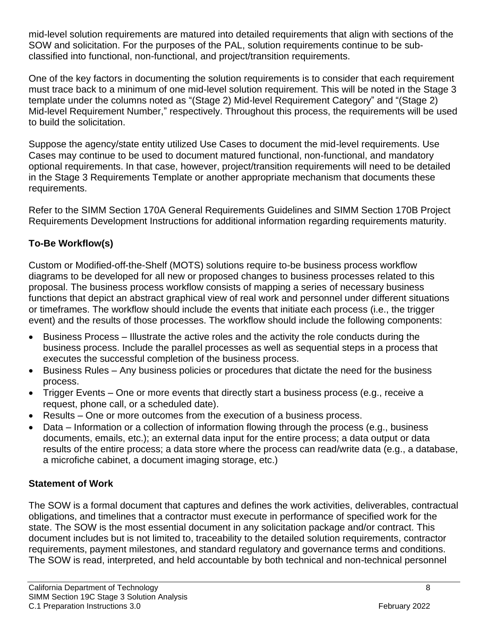mid-level solution requirements are matured into detailed requirements that align with sections of the SOW and solicitation. For the purposes of the PAL, solution requirements continue to be subclassified into functional, non-functional, and project/transition requirements.

One of the key factors in documenting the solution requirements is to consider that each requirement must trace back to a minimum of one mid-level solution requirement. This will be noted in the Stage 3 template under the columns noted as "(Stage 2) Mid-level Requirement Category" and "(Stage 2) Mid-level Requirement Number," respectively. Throughout this process, the requirements will be used to build the solicitation.

Suppose the agency/state entity utilized Use Cases to document the mid-level requirements. Use Cases may continue to be used to document matured functional, non-functional, and mandatory optional requirements. In that case, however, project/transition requirements will need to be detailed in the Stage 3 Requirements Template or another appropriate mechanism that documents these requirements.

Refer to the SIMM Section 170A General Requirements Guidelines and SIMM Section 170B Project Requirements Development Instructions for additional information regarding requirements maturity.

#### **To-Be Workflow(s)**

Custom or Modified-off-the-Shelf (MOTS) solutions require to-be business process workflow diagrams to be developed for all new or proposed changes to business processes related to this proposal. The business process workflow consists of mapping a series of necessary business functions that depict an abstract graphical view of real work and personnel under different situations or timeframes. The workflow should include the events that initiate each process (i.e., the trigger event) and the results of those processes. The workflow should include the following components:

- Business Process Illustrate the active roles and the activity the role conducts during the business process. Include the parallel processes as well as sequential steps in a process that executes the successful completion of the business process.
- Business Rules Any business policies or procedures that dictate the need for the business process.
- Trigger Events One or more events that directly start a business process (e.g., receive a request, phone call, or a scheduled date).
- Results One or more outcomes from the execution of a business process.
- Data Information or a collection of information flowing through the process (e.g., business documents, emails, etc.); an external data input for the entire process; a data output or data results of the entire process; a data store where the process can read/write data (e.g., a database, a microfiche cabinet, a document imaging storage, etc.)

#### **Statement of Work**

The SOW is a formal document that captures and defines the work activities, deliverables, contractual obligations, and timelines that a contractor must execute in performance of specified work for the state. The SOW is the most essential document in any solicitation package and/or contract. This document includes but is not limited to, traceability to the detailed solution requirements, contractor requirements, payment milestones, and standard regulatory and governance terms and conditions. The SOW is read, interpreted, and held accountable by both technical and non-technical personnel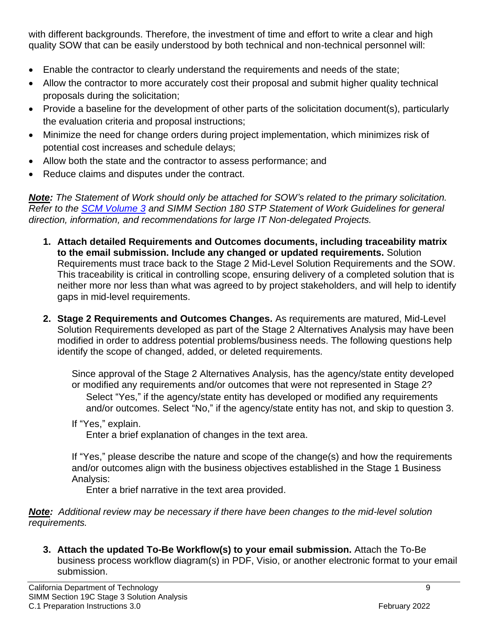with different backgrounds. Therefore, the investment of time and effort to write a clear and high quality SOW that can be easily understood by both technical and non-technical personnel will:

- Enable the contractor to clearly understand the requirements and needs of the state;
- Allow the contractor to more accurately cost their proposal and submit higher quality technical proposals during the solicitation;
- Provide a baseline for the development of other parts of the solicitation document(s), particularly the evaluation criteria and proposal instructions;
- Minimize the need for change orders during project implementation, which minimizes risk of potential cost increases and schedule delays;
- Allow both the state and the contractor to assess performance; and
- Reduce claims and disputes under the contract.

*Note: The Statement of Work should only be attached for SOW's related to the primary solicitation. Refer to the [SCM Volume 3](http://www.documents.dgs.ca.gov/pd/poliproc/pdfCompleteSCMv3/pdfCompleteSCMv3.pdf) and SIMM Section 180 STP Statement of Work Guidelines for general direction, information, and recommendations for large IT Non-delegated Projects.*

- **1. Attach detailed Requirements and Outcomes documents, including traceability matrix to the email submission. Include any changed or updated requirements.** Solution Requirements must trace back to the Stage 2 Mid-Level Solution Requirements and the SOW. This traceability is critical in controlling scope, ensuring delivery of a completed solution that is neither more nor less than what was agreed to by project stakeholders, and will help to identify gaps in mid-level requirements.
- **2. Stage 2 Requirements and Outcomes Changes.** As requirements are matured, Mid-Level Solution Requirements developed as part of the Stage 2 Alternatives Analysis may have been modified in order to address potential problems/business needs. The following questions help identify the scope of changed, added, or deleted requirements.

Since approval of the Stage 2 Alternatives Analysis, has the agency/state entity developed or modified any requirements and/or outcomes that were not represented in Stage 2? Select "Yes," if the agency/state entity has developed or modified any requirements and/or outcomes. Select "No," if the agency/state entity has not, and skip to question 3.

If "Yes," explain.

Enter a brief explanation of changes in the text area.

If "Yes," please describe the nature and scope of the change(s) and how the requirements and/or outcomes align with the business objectives established in the Stage 1 Business Analysis:

Enter a brief narrative in the text area provided.

*Note: Additional review may be necessary if there have been changes to the mid-level solution requirements.*

**3. Attach the updated To-Be Workflow(s) to your email submission.** Attach the To-Be business process workflow diagram(s) in PDF, Visio, or another electronic format to your email submission.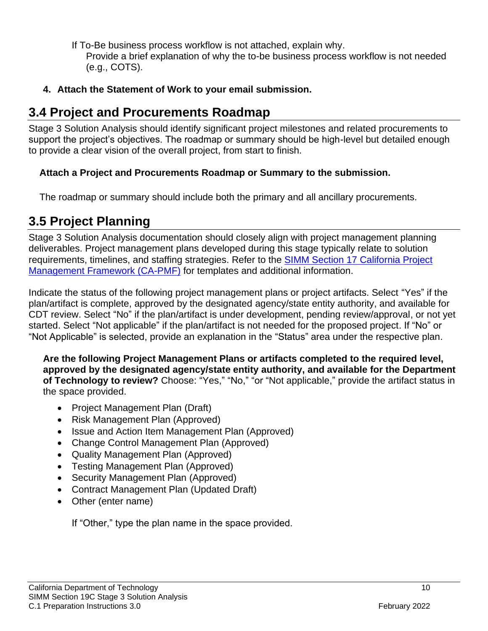If To-Be business process workflow is not attached, explain why.

Provide a brief explanation of why the to-be business process workflow is not needed (e.g., COTS).

#### **4. Attach the Statement of Work to your email submission.**

### <span id="page-10-0"></span>**3.4 Project and Procurements Roadmap**

Stage 3 Solution Analysis should identify significant project milestones and related procurements to support the project's objectives. The roadmap or summary should be high-level but detailed enough to provide a clear vision of the overall project, from start to finish.

#### **Attach a Project and Procurements Roadmap or Summary to the submission.**

The roadmap or summary should include both the primary and all ancillary procurements.

### <span id="page-10-1"></span>**3.5 Project Planning**

Stage 3 Solution Analysis documentation should closely align with project management planning deliverables. Project management plans developed during this stage typically relate to solution requirements, timelines, and staffing strategies. Refer to the SIMM Section [17 California Project](http://capmf.cio.ca.gov/)  [Management Framework \(CA-PMF\)](http://capmf.cio.ca.gov/) for templates and additional information.

Indicate the status of the following project management plans or project artifacts. Select "Yes" if the plan/artifact is complete, approved by the designated agency/state entity authority, and available for CDT review. Select "No" if the plan/artifact is under development, pending review/approval, or not yet started. Select "Not applicable" if the plan/artifact is not needed for the proposed project. If "No" or "Not Applicable" is selected, provide an explanation in the "Status" area under the respective plan.

**Are the following Project Management Plans or artifacts completed to the required level, approved by the designated agency/state entity authority, and available for the Department of Technology to review?** Choose: "Yes," "No," "or "Not applicable," provide the artifact status in the space provided.

- Project Management Plan (Draft)
- Risk Management Plan (Approved)
- Issue and Action Item Management Plan (Approved)
- Change Control Management Plan (Approved)
- Quality Management Plan (Approved)
- Testing Management Plan (Approved)
- Security Management Plan (Approved)
- Contract Management Plan (Updated Draft)
- Other (enter name)

If "Other," type the plan name in the space provided.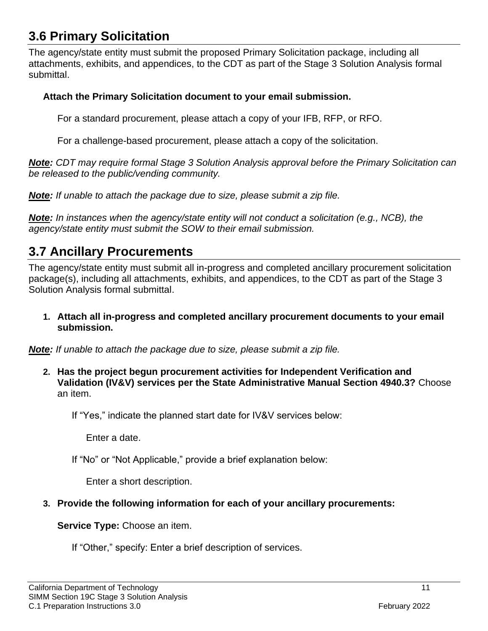### <span id="page-11-0"></span>**3.6 Primary Solicitation**

The agency/state entity must submit the proposed Primary Solicitation package, including all attachments, exhibits, and appendices, to the CDT as part of the Stage 3 Solution Analysis formal submittal.

#### **Attach the Primary Solicitation document to your email submission.**

For a standard procurement, please attach a copy of your IFB, RFP, or RFO.

For a challenge-based procurement, please attach a copy of the solicitation.

*Note: CDT may require formal Stage 3 Solution Analysis approval before the Primary Solicitation can be released to the public/vending community.*

*Note: If unable to attach the package due to size, please submit a zip file.*

*Note: In instances when the agency/state entity will not conduct a solicitation (e.g., NCB), the agency/state entity must submit the SOW to their email submission.* 

### <span id="page-11-1"></span>**3.7 Ancillary Procurements**

The agency/state entity must submit all in-progress and completed ancillary procurement solicitation package(s), including all attachments, exhibits, and appendices, to the CDT as part of the Stage 3 Solution Analysis formal submittal.

**1. Attach all in-progress and completed ancillary procurement documents to your email submission.**

*Note: If unable to attach the package due to size, please submit a zip file.*

**2. Has the project begun procurement activities for Independent Verification and Validation (IV&V) services per the State Administrative Manual Section 4940.3?** Choose an item.

If "Yes," indicate the planned start date for IV&V services below:

Enter a date.

If "No" or "Not Applicable," provide a brief explanation below:

Enter a short description.

#### **3. Provide the following information for each of your ancillary procurements:**

**Service Type:** Choose an item.

If "Other," specify: Enter a brief description of services.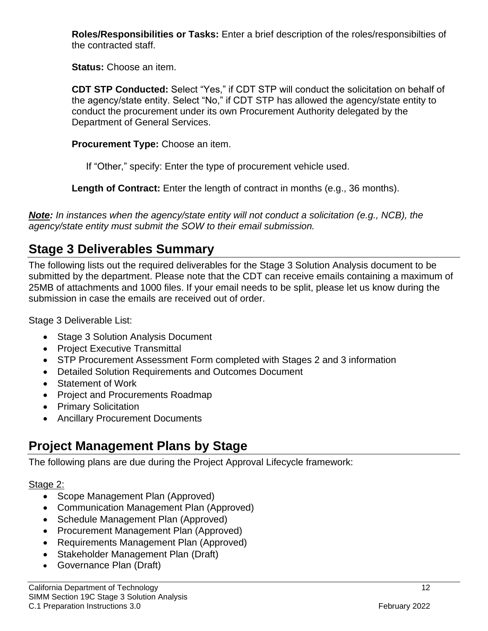**Roles/Responsibilities or Tasks:** Enter a brief description of the roles/responsibilties of the contracted staff.

**Status:** Choose an item.

**CDT STP Conducted:** Select "Yes," if CDT STP will conduct the solicitation on behalf of the agency/state entity. Select "No," if CDT STP has allowed the agency/state entity to conduct the procurement under its own Procurement Authority delegated by the Department of General Services.

**Procurement Type:** Choose an item.

If "Other," specify: Enter the type of procurement vehicle used.

**Length of Contract:** Enter the length of contract in months (e.g., 36 months).

*Note: In instances when the agency/state entity will not conduct a solicitation (e.g., NCB), the agency/state entity must submit the SOW to their email submission.*

# <span id="page-12-0"></span>**Stage 3 Deliverables Summary**

The following lists out the required deliverables for the Stage 3 Solution Analysis document to be submitted by the department. Please note that the CDT can receive emails containing a maximum of 25MB of attachments and 1000 files. If your email needs to be split, please let us know during the submission in case the emails are received out of order.

Stage 3 Deliverable List:

- Stage 3 Solution Analysis Document
- Project Executive Transmittal
- STP Procurement Assessment Form completed with Stages 2 and 3 information
- Detailed Solution Requirements and Outcomes Document
- Statement of Work
- Project and Procurements Roadmap
- Primary Solicitation
- Ancillary Procurement Documents

# <span id="page-12-1"></span>**Project Management Plans by Stage**

The following plans are due during the Project Approval Lifecycle framework:

#### Stage 2:

- Scope Management Plan (Approved)
- Communication Management Plan (Approved)
- Schedule Management Plan (Approved)
- Procurement Management Plan (Approved)
- Requirements Management Plan (Approved)
- Stakeholder Management Plan (Draft)
- Governance Plan (Draft)